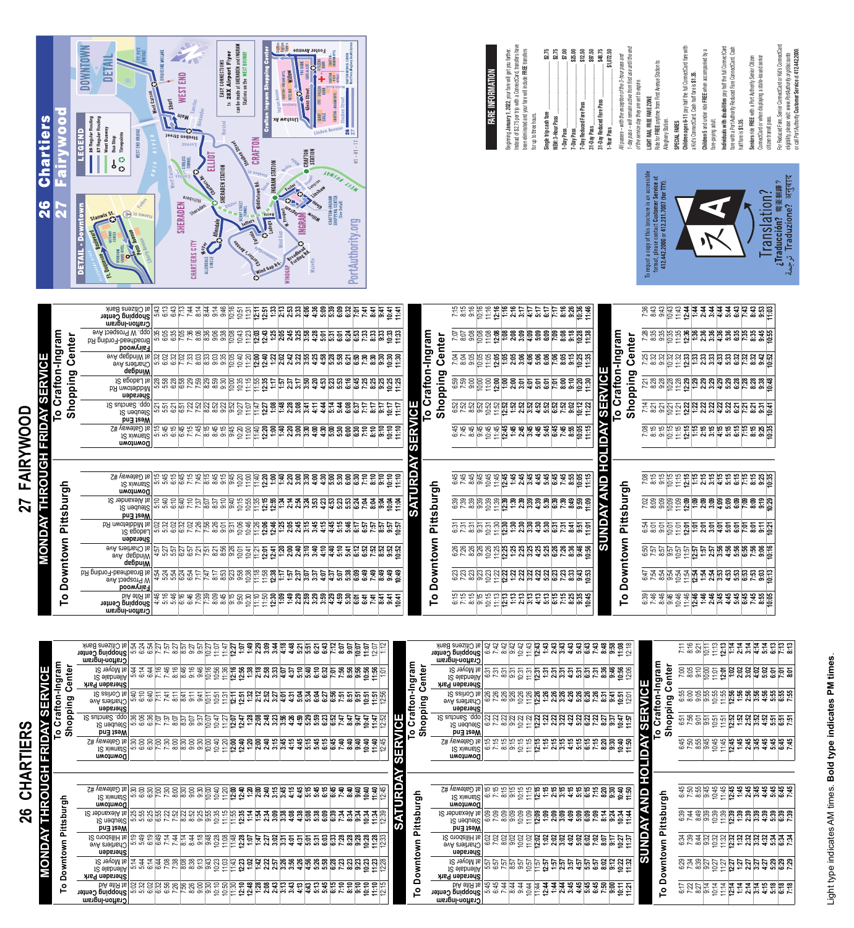

| FARE INFORMATION | Beginning January 1, 2022, your fare will get you farther. |
|------------------|------------------------------------------------------------|
|                  |                                                            |
|                  |                                                            |
|                  |                                                            |

| Instead of \$2.75 per trip with a ConnectCard, transfers have                                                |  |
|--------------------------------------------------------------------------------------------------------------|--|
| been eliminated and your fare will include FREE transfers                                                    |  |
| for up to three hours.                                                                                       |  |
| \$2.75<br>Single trip cash fare                                                                              |  |
| \$2.75<br>NEW: 3-Hour Pass                                                                                   |  |
| \$7.00<br>1-Day Pass                                                                                         |  |
| \$25.00<br>7-Day Pass                                                                                        |  |
| \$12.50<br>7-Day Reduced Fare Pass                                                                           |  |
| \$97.50<br>31-Day Pass                                                                                       |  |
| \$48.75<br>31-Day Reduced Fare Pass                                                                          |  |
| \$1,072.50<br>1-Year Pass                                                                                    |  |
| All passes - with the exception of the 3-hour pass and                                                       |  |
| 1-day pass – will remain active from first use until the end                                                 |  |
| of the service day they are set to expire.                                                                   |  |
| Ride for FREE anytime from First Avenue Station to<br>LIGHT RAIL FREE FARE ZONE                              |  |
| Allegheny Station.                                                                                           |  |
| <b>SPECIAL FARES</b>                                                                                         |  |
| Children ages 6-11 pay half the full ConnectCard fare with<br>a Kid's ConnectCard. Cash half fare is \$1.35. |  |
| Children 5 and under ride FREE when accompanied by a                                                         |  |
| fare-paying adult.                                                                                           |  |
| Individuals with disabilities pay half the full ConnectCard                                                  |  |
| fare with a Port Authority Reduced Fare ConnectCard. Cash<br>half fare is \$1.35.                            |  |
|                                                                                                              |  |



**Seniors** ride **FREE** with a Port Authority Senior Citizen ConnectCard or when displaying a state-issued senior

citizen transit pass.

For Reduced Fare, Senior ConnectCard or Kid's ConnectCard eligibility, please visit: www.PortAuthority.org/discounts or call Port Authority **Customer Service** at **412.442.2000**.

For Reduced Fare, Senior ConnectCard or Kid's ConnectCard<br>eligibility, please visit: *www.PortAuthority.org/discounts*<br>or call Port Authority **Customer Service** at **412.442.2000.** 

|                                      |  | <u>288888888888888888</u><br>28888888888888888                                                                                                                                                                                                                                                                                                                                       |  |  |                                                                                                                                   |  |  |  |  |
|--------------------------------------|--|--------------------------------------------------------------------------------------------------------------------------------------------------------------------------------------------------------------------------------------------------------------------------------------------------------------------------------------------------------------------------------------|--|--|-----------------------------------------------------------------------------------------------------------------------------------|--|--|--|--|
| lo Cratton-Ingram<br>Shopping Center |  |                                                                                                                                                                                                                                                                                                                                                                                      |  |  |                                                                                                                                   |  |  |  |  |
|                                      |  | ម្ពុជា<br>ក្តីខ្ចុំខ្ចុំ ខ្ញុំ ខ្ញុំ ខ្ញុំ ខ្ញុំ ខ្ញុំ ខ្ញុំ ខ្ញុំ ខ្ញុំ ខ្ញុំ ខ្ញុំ ខ្ញុំ ខ្ញុំ ខ្ញុំ ខ្ញុំ ខ្ញុំ ខ្ញុំ<br>ក្នុងក្តី ខ្ញុំ ខ្ញុំ ខ្ញុំ ខ្ញុំ ខ្ញុំ ខ្ញុំ ខ្ញុំ ខ្ញុំ ខ្ញុំ ខ្ញុំ ខ្ញុំ ខ្ញុំ ខ្ញុំ ខ្ញុំ ខ្ញុំ ខ្ញ                                                                                                                                                  |  |  |                                                                                                                                   |  |  |  |  |
|                                      |  | $\overline{8}$ $\overline{8}$ $\overline{9}$ $\overline{9}$ $\overline{1}$ $\overline{2}$ $\overline{4}$ $\overline{5}$ $\overline{1}$ $\overline{2}$ $\overline{4}$ $\overline{5}$ $\overline{2}$ $\overline{4}$ $\overline{5}$ $\overline{2}$ $\overline{4}$ $\overline{5}$ $\overline{6}$ $\overline{2}$ $\overline{3}$ $\overline{4}$ $\overline{5}$ $\overline{6}$ $\overline{$ |  |  |                                                                                                                                   |  |  |  |  |
|                                      |  |                                                                                                                                                                                                                                                                                                                                                                                      |  |  |                                                                                                                                   |  |  |  |  |
|                                      |  |                                                                                                                                                                                                                                                                                                                                                                                      |  |  |                                                                                                                                   |  |  |  |  |
|                                      |  |                                                                                                                                                                                                                                                                                                                                                                                      |  |  |                                                                                                                                   |  |  |  |  |
| Pittsburgh                           |  |                                                                                                                                                                                                                                                                                                                                                                                      |  |  |                                                                                                                                   |  |  |  |  |
|                                      |  | <u>ន្ទីខ្ទីទី ទី ទី ទី ទី ទី ទី ទី ទី ទី ទី ទី ដី ទី</u>                                                                                                                                                                                                                                                                                                                             |  |  |                                                                                                                                   |  |  |  |  |
| Downtown                             |  | ទី ប្រកួត មក មក មក មក មក មក មក មក<br>ក្នុង ក្នុង ក្នុង ក្នុង ក្នុង ក្នុង ក្នុង ក្នុង ក្នុង ក្នុង ក្នុង ក្នុង ក្នុង ក្នុង ក្នុង ក្នុង ក្នុង ក្នុង ក្<br>ក្នុង ក្នុង ក្នុង ក្នុង ក្នុង ក្នុង ក្នុង ក្នុង ក្នុង ក្នុង ក្នុង ក្នុង ក្នុ                                                                                                                                                  |  |  |                                                                                                                                   |  |  |  |  |
|                                      |  |                                                                                                                                                                                                                                                                                                                                                                                      |  |  | <u>ិន្ទុនិក្ខិដី ម្ចី មន្ទ្រី មន្ទ្រី មន្ទ្រី មន្ទ្រី មន្ទ្រី</u><br><u>កំពុំនិក្ខិដី មន្ទ្រី មន្ទ្រី</u> មន្ទ្រី មន្ទ្រី មន្ទ្រី |  |  |  |  |
| P                                    |  |                                                                                                                                                                                                                                                                                                                                                                                      |  |  |                                                                                                                                   |  |  |  |  |

| 7:08         | 8:15            | 9:15          |       | <b>TER PERSONAL PROPER</b><br>CERP PERSONAL PROPER                                                                                                                               |                       |  |                |      |                         | 10:35 |
|--------------|-----------------|---------------|-------|----------------------------------------------------------------------------------------------------------------------------------------------------------------------------------|-----------------------|--|----------------|------|-------------------------|-------|
| 3:09<br>2:25 |                 | 9:09          | 10:09 | $11.09$<br>$2.09$                                                                                                                                                                | <b>e</b> e e<br>- 2 e |  | 8 8 8<br># 5 8 |      | <u>၉၀ ခု</u><br>၁၉၀ ခု  | 10:29 |
|              | ខ្លួនទី<br>ភូមិ |               |       | <u>ង់ ដ្ឋ ភូមិ ខ្លួន ខ្ញុំ ខ្ញុំ ខ្ញុំ ខ្ញុំ</u><br>ខ្ញុំ ខ្ញុំ ខ្ញុំ ខ្ញុំ ខ្ញុំ ខ្ញុំ ខ្ញុំ ខ្ញុំ ខ្ញុំ ខ្ញុំ ខ្ញុំ ខ្ញុំ ខ្ញុំ ខ្ញុំ ខ្ញុំ ខ្ញុំ ខ្ញុំ ខ្ញុំ ខ្               |                       |  |                | 10.7 | $rac{5}{8}$ $rac{1}{8}$ | 10:21 |
| 6:50         | 7.57            | 8:57          |       | ត់<br>កូម៉ូដូ <mark>ង ដូង ម៉ូង ម៉ូន ម៉ូ</mark><br>សូម៉ូដូ <mark>ង ដូង ម៉ូន ម៉ូ</mark>                                                                                            |                       |  |                |      | <b>86.88</b><br>97.99   | 10:16 |
| 6:47         |                 | ਨੂੰ ਲੋ<br>ਮੁੱ |       | ន្ត្រី<br>ដូច្នាំង្គី <b>ង្គីង្គីន្ទីនី</b><br>ដូច្នាំង្គី <b>ង្គីង្គីនី</b> នី                                                                                                  |                       |  |                |      |                         | 10:13 |
| 6:39         |                 | 8:46          | 9:46  | $0.46$<br>$0.46$<br>$0.46$<br>$0.46$<br>$0.46$<br>$0.46$<br>$0.46$<br>$0.46$<br>$0.46$<br>$0.46$<br>$0.46$<br>$0.46$<br>$0.46$<br>$0.46$<br>$0.46$<br>$0.46$<br>$0.46$<br>$0.46$ |                       |  |                |      |                         | 10:05 |
|              |                 |               |       |                                                                                                                                                                                  |                       |  |                |      |                         |       |

| <b>SUNDAY AND HOLIDAY SERVICE</b> | To Crafton-Ingram<br><b>Shopping Center</b> | וסטיב ו־פטיב ויטיב ו-טעיב                                                                             |
|-----------------------------------|---------------------------------------------|-------------------------------------------------------------------------------------------------------|
|                                   |                                             | - 1907 - 1918 - 1919 - 1919 - 1919 - 1919 - 1919 - 1919 - 1919 - 1919 - 1919 - 1919 - 1919 - 1919 - 1 |
|                                   | To Downtown Pittsburgh                      |                                                                                                       |
|                                   |                                             |                                                                                                       |
|                                   |                                             |                                                                                                       |
|                                   |                                             |                                                                                                       |

| To Downtown Pittsburgh                                                                     |                                                                                                                               |                                                                                          |                          |  | To Crafton-Ingram<br>Shopping | Center |                                                                                                                                                                                                                                                                                                                       |  |
|--------------------------------------------------------------------------------------------|-------------------------------------------------------------------------------------------------------------------------------|------------------------------------------------------------------------------------------|--------------------------|--|-------------------------------|--------|-----------------------------------------------------------------------------------------------------------------------------------------------------------------------------------------------------------------------------------------------------------------------------------------------------------------------|--|
|                                                                                            |                                                                                                                               |                                                                                          |                          |  |                               |        |                                                                                                                                                                                                                                                                                                                       |  |
|                                                                                            |                                                                                                                               |                                                                                          |                          |  |                               |        |                                                                                                                                                                                                                                                                                                                       |  |
| <u>និន្ទន់និទ្ធនីទីក្រុម អនុម្ព័ន្ធ អនុម្ពស និទ្ធនីទី</u><br>និន្ទន់និទ្ធនីទីក្រុម អនុម្ពស | ន្ត្រី និងនាន់ និង <b>និង និង និង និង និង និង និង</b> និង<br>និង និង និង និង <mark>និង និង និង និង និង និង និង និ</mark> ង និ | <u>និងនិងទីទីក្</u> នុក្នុងទីមន្ត្រី និង និង និង<br>និងនិងទីទីក្នុក្នុងទីមន្ត្រី និង និង |                          |  |                               |        | $\frac{5}{6}$ : $\frac{5}{6}$ $\frac{6}{6}$ $\frac{6}{6}$ $\frac{6}{6}$ $\frac{6}{6}$ $\frac{6}{6}$ $\frac{6}{6}$ $\frac{6}{6}$ $\frac{6}{6}$ $\frac{6}{6}$ $\frac{6}{6}$ $\frac{6}{6}$ $\frac{6}{6}$ $\frac{6}{6}$ $\frac{6}{6}$ $\frac{6}{6}$ $\frac{6}{6}$ $\frac{6}{6}$ $\frac{6}{6}$ $\frac{6}{6}$ $\frac{6}{6}$ |  |
|                                                                                            |                                                                                                                               |                                                                                          |                          |  |                               |        |                                                                                                                                                                                                                                                                                                                       |  |
|                                                                                            |                                                                                                                               |                                                                                          |                          |  |                               |        |                                                                                                                                                                                                                                                                                                                       |  |
|                                                                                            |                                                                                                                               |                                                                                          |                          |  |                               |        |                                                                                                                                                                                                                                                                                                                       |  |
|                                                                                            |                                                                                                                               |                                                                                          |                          |  |                               |        |                                                                                                                                                                                                                                                                                                                       |  |
|                                                                                            |                                                                                                                               |                                                                                          |                          |  |                               |        |                                                                                                                                                                                                                                                                                                                       |  |
|                                                                                            |                                                                                                                               |                                                                                          |                          |  |                               |        |                                                                                                                                                                                                                                                                                                                       |  |
|                                                                                            |                                                                                                                               |                                                                                          |                          |  |                               |        |                                                                                                                                                                                                                                                                                                                       |  |
|                                                                                            |                                                                                                                               |                                                                                          |                          |  |                               |        |                                                                                                                                                                                                                                                                                                                       |  |
|                                                                                            |                                                                                                                               |                                                                                          |                          |  |                               |        |                                                                                                                                                                                                                                                                                                                       |  |
|                                                                                            |                                                                                                                               |                                                                                          |                          |  |                               |        |                                                                                                                                                                                                                                                                                                                       |  |
|                                                                                            |                                                                                                                               |                                                                                          |                          |  |                               |        |                                                                                                                                                                                                                                                                                                                       |  |
|                                                                                            |                                                                                                                               |                                                                                          |                          |  |                               |        |                                                                                                                                                                                                                                                                                                                       |  |
|                                                                                            |                                                                                                                               |                                                                                          |                          |  |                               |        |                                                                                                                                                                                                                                                                                                                       |  |
|                                                                                            |                                                                                                                               |                                                                                          |                          |  |                               |        |                                                                                                                                                                                                                                                                                                                       |  |
|                                                                                            |                                                                                                                               |                                                                                          | SIINDAV AND IOLION VANIS |  |                               |        |                                                                                                                                                                                                                                                                                                                       |  |
|                                                                                            |                                                                                                                               |                                                                                          |                          |  |                               |        |                                                                                                                                                                                                                                                                                                                       |  |

|                            | at Citizens Bank<br>  Jehoping Center<br>Crafton-Ingram                                                                                                                                                                                                    |                                                                                                                                                                                                                                                                                                                                                                                                                                                                                                                                                                              |  |  |  |  |  |  |  |  |  |  |  |  |  |  |                      |                    |
|----------------------------|------------------------------------------------------------------------------------------------------------------------------------------------------------------------------------------------------------------------------------------------------------|------------------------------------------------------------------------------------------------------------------------------------------------------------------------------------------------------------------------------------------------------------------------------------------------------------------------------------------------------------------------------------------------------------------------------------------------------------------------------------------------------------------------------------------------------------------------------|--|--|--|--|--|--|--|--|--|--|--|--|--|--|----------------------|--------------------|
| Center                     | 9VA for W Prospect Ave<br>Broadhead-Fording Rd<br>Fairywood                                                                                                                                                                                                | ខេត្ត ក្នុង ក្នុង ក្នុង ក្នុង ក្នុង ក្នុង ក្នុង ក្នុង ក្នុង ក្នុង ក្នុង ក្នុង ក្នុង ក្នុង ក្នុង ក្នុង ក្នុង ក្<br>ក្នុង ក្នុង ក្នុង ក្នុង ក្នុង ក្នុង ក្នុង ក្នុង ក្នុង ក្នុង ក្នុង ក្នុង ក្នុង ក្នុង ក្នុង ក្នុង ក្នុង ក្នុង ក្                                                                                                                                                                                                                                                                                                                                             |  |  |  |  |  |  |  |  |  |  |  |  |  |  |                      |                    |
|                            | ovA andmario en en el estado en el estado en el estado en el estado en el estado en el estado en el estado en<br>on and and en el estado en el estado en el estado en el estado en el estado en el estado en el estado en el es<br><b>debpuiW</b>          |                                                                                                                                                                                                                                                                                                                                                                                                                                                                                                                                                                              |  |  |  |  |  |  |  |  |  |  |  |  |  |  |                      |                    |
| Crafton-Ingram<br>Shopping | R nwotelbbiM   යු යු ලු ලු දු දු ලු ලු ලු ලු ලු දු ලු ලු දු ලු හු දු ලු හු දු ලු හු සු ලු ලු දු සු හු හු සු<br>18 apobal 16 ක සි ක් සි හි හි හි හි හි හි හි සි විට ලු ලු ලු ලු සු හු දු ලු හු දු ලු හු සු සු සු සු සු සු සු ස<br>Middletown Rd<br>Sheraden |                                                                                                                                                                                                                                                                                                                                                                                                                                                                                                                                                                              |  |  |  |  |  |  |  |  |  |  |  |  |  |  |                      | ft∧n<br>ft         |
| ءِ                         | f2 autons 3t<br><b>Steuben St</b><br><b>Du∃ tesW</b>                                                                                                                                                                                                       | <u>នួនខ្លួនដូចទីនាំងនិងនិងដែលទាំងស្រុងទីនាំងដូចទីនាំងទីដូច</u><br>នាំងនាំងនាំងនាំងនាំងនាំងនាំងនាំងនាំងដូចទីនាំងដូចទីនាំងដូច                                                                                                                                                                                                                                                                                                                                                                                                                                                  |  |  |  |  |  |  |  |  |  |  |  |  |  |  |                      | م<br>م<br><u>م</u> |
|                            | $\frac{12}{12}$ and the set of the set of the set of the set of the set of the set of the set of the set of the set of the set of the set of the set of the set of the set of the set of the set of the set of the set of the set<br>Downtown              |                                                                                                                                                                                                                                                                                                                                                                                                                                                                                                                                                                              |  |  |  |  |  |  |  |  |  |  |  |  |  |  |                      |                    |
|                            |                                                                                                                                                                                                                                                            |                                                                                                                                                                                                                                                                                                                                                                                                                                                                                                                                                                              |  |  |  |  |  |  |  |  |  |  |  |  |  |  |                      |                    |
|                            |                                                                                                                                                                                                                                                            |                                                                                                                                                                                                                                                                                                                                                                                                                                                                                                                                                                              |  |  |  |  |  |  |  |  |  |  |  |  |  |  |                      |                    |
|                            | at Gateway #2<br><b>JS XIMUBIS</b><br><b>Downtown</b>                                                                                                                                                                                                      |                                                                                                                                                                                                                                                                                                                                                                                                                                                                                                                                                                              |  |  |  |  |  |  |  |  |  |  |  |  |  |  | <b>SATURDAY SERV</b> |                    |
| Pittsburgh                 | <b>JC</b> nebuskelA ts<br><b>Steuben St</b><br><b>Dn</b> iseW                                                                                                                                                                                              | ខ្លួន១២១២២២១២២១០០០ មាន ។<br>ក្នុង១២១២២២១២២២២២ <mark>២១៥២</mark> មាន មន្ត្រី និង មន្ត្រី និង មិន មិន មិន<br>ក្នុង១២១២២២១២២២២២                                                                                                                                                                                                                                                                                                                                                                                                                                                 |  |  |  |  |  |  |  |  |  |  |  |  |  |  |                      |                    |
|                            | $12$ spobs $\Box$<br>Sheraden                                                                                                                                                                                                                              |                                                                                                                                                                                                                                                                                                                                                                                                                                                                                                                                                                              |  |  |  |  |  |  |  |  |  |  |  |  |  |  |                      |                    |
| Downtown                   | avA chartners Ave<br><b>SVA</b> qspbniW<br>debpui <sub>M</sub>                                                                                                                                                                                             |                                                                                                                                                                                                                                                                                                                                                                                                                                                                                                                                                                              |  |  |  |  |  |  |  |  |  |  |  |  |  |  |                      |                    |
|                            | <b>Iat Broadhead-Fording Rd</b><br><b>9VA</b> fosqeord W<br>Fairywood                                                                                                                                                                                      | $\begin{array}{cccccccccccccc} \dot{\alpha} & \dot{\alpha} & \dot{\alpha} & \dot{\alpha} & \dot{\alpha} & \dot{\alpha} & \dot{\alpha} & \dot{\alpha} & \dot{\alpha} & \dot{\alpha} & \dot{\alpha} & \dot{\alpha} & \dot{\alpha} & \dot{\alpha} & \dot{\alpha} & \dot{\alpha} & \dot{\alpha} & \dot{\alpha} & \dot{\alpha} & \dot{\alpha} & \dot{\alpha} & \dot{\alpha} & \dot{\alpha} & \dot{\alpha} & \dot{\alpha} & \dot{\alpha} & \dot{\alpha} & \dot{\alpha} & \dot{\alpha} & \dot{\alpha} & \dot{\alpha} & \dot{\alpha} & \dot{\alpha} & \dot{\alpha} & \dot{\alpha} &$ |  |  |  |  |  |  |  |  |  |  |  |  |  |  |                      |                    |
| <u>م</u>                   | <b>biA</b> etiR la<br>Shopping Center<br>Crafton-Ingram                                                                                                                                                                                                    |                                                                                                                                                                                                                                                                                                                                                                                                                                                                                                                                                                              |  |  |  |  |  |  |  |  |  |  |  |  |  |  |                      |                    |

| Φ<br>⊆<br>5<br>S<br>ത<br>n<br>n<br>О<br>I | admaD pringonal englished as the state of the state of the state of the state of $\frac{1}{2}$ and $\frac{1}{2}$ and $\frac{1}{2}$ and $\frac{1}{2}$ and $\frac{1}{2}$ and $\frac{1}{2}$ and $\frac{1}{2}$ and $\frac{1}{2}$ and $\frac{1}{2}$ and $\frac{1}{2}$ and<br>Crafton-Ingram<br>$12$ 19yoM 1s   $\dot{A}$ $\dot{A}$ is $\ddot{A}$ is $\ddot{A}$ is $\ddot{A}$ is $\ddot{B}$ is $\ddot{B}$ is $\ddot{B}$ is $\ddot{B}$ is $\ddot{B}$ is $\ddot{B}$ is $\ddot{B}$ is $\ddot{B}$ is $\ddot{B}$<br><b>12 elabrellA</b><br>Sheraden Park<br>18 aaiho0 ha lá 등 좀 뜯 잘 듣 은 줄 듣 한 일 든 한 이 등 한 이 등 한 일 일 일 일 한 번 한 한 한 한 한 한 한 한<br><b>SVA crement</b><br>Sheraden<br>18 automa8. qqo   ಜ ៩ ಜ ៩ ៥ ២ ៥ ៩ ២ ៥ ៥ ២ ៩ ៥ ២ ៩ ៥ ៨ ៩ ៨ ៤ ៩ ៥ ៤ ៥ ៥ ៥ ៥ ៥ ៥ ៥ ៥ ೬ ៥ ೬ ೬ ೬<br><b>JS neduels</b><br>Mest End<br>Downtown |  | ဖြစ်စုပြင် စုစုစုစုစုရှိခြင်းကြီး မြို့ရှိနေပြီး မြို့ရှိနေပြီး မြို့ရှိခြင်း စုစု                                                                                                                                                                                                                                                                                                                                                                                                                                                                                                                                                                                                                                                                                                       |  |                                                                                                                       |  |  | Φ                       | ram<br>ත<br>Ξ<br>⊆<br>$\circ$<br>raft<br>$\circ$ | Crafton-Ingram<br>18 19voM 1s  ਦੇ ਦੋ ਦੋ ਦਿੱ ਦੇ ਦੋ <mark>ਦੇ ਦੋ ਦੋ ਦੋ ਦੇ ਦੋ ਦੋ ਦੋ ਦੋ ਵੇ ਵਿੱ ਦੋ</mark> ਉ<br>$12 \text{ shabnellA} \sim \infty$ o $\approx \frac{1}{2}$ $\frac{1}{2}$ $\frac{1}{2}$ $\approx$ $\frac{1}{2}$ o $\approx$ $\approx$ $\approx$ $\approx$ $\approx$ $\approx$ $\approx$<br>Sheraden Park<br>12 asihoO 16 & & & & & & & <mark>&amp; &amp; &amp; &amp; &amp; &amp; &amp; &amp; &amp; &amp; &amp; <del>A</del> &amp;</mark> &<br>$\Theta$ and statistical contract $\omega$ is $\omega = \overline{\omega}$ and $\omega = \omega$ and $\omega = \overline{\omega}$<br>Sheraden<br>jeuben St<br><b>Mest End</b><br>갧 (sweite) 16 승규는 승규는 승규는 승규는 승규의 일 수 있<br>$12 \times 100$ metal $\alpha \sim \infty$ to $\beta \sim \infty$ to $\alpha \sim \infty$ to $\alpha \sim \infty$ to $\alpha \sim \infty$ to $\alpha \sim \infty$<br>Downtown |  |  |                                                                                                      | $\overline{ }$ | <u>რ</u><br>ច្នា<br>Ξ.<br>o<br>T<br>o                                             | ರಾ<br>Ο | エエクエエ<br>ڹ ۛۼ؋ۣڮڿ <b>ڟٚڂۥۑ</b> ؋ڸۼ؋ۄ؋ڋ<br><u>ងូ ទី គឺ គ្រី សំ ម៉ូ ម៉ូ ស្រី ម៉ូ ស្អី ស្អី ស្អី ស្អី ស្អី ស្អី ស្អី</u><br>ၜၜၜၟၜ႞ၜႜ႞ႜ႞ႜၯ႞ႜၛႜၛၟၟႜၛႜၜၟၣ<br><b>¤ ផ្គត្តននានានានា</b> កានាកានា<br>$\ddot{\omega} \wedge \ddot{\omega} \ddot{\omega} \ddot{\omega} - \dot{\omega} \ddot{\omega} \ddot{\omega} \ddot{\omega}$<br><u>ਦੇ ਕੋ ਕੋ ਕਿ ਦੋ <b>ਨੇ ਨੇ ਨੇ ਨੇ ਨੇ ਨੇ ਨੇ ਨੇ ਨੇ</b> ਨੇ ਨੇ </u><br><u>o cobe e dia e ulo a n</u> o c                                                                                                                                                                                                                                                                                                                                                                                                                                                                                                                                                                                                                                                                                                                                                 | $- - -$ |  |  |
|-------------------------------------------|----------------------------------------------------------------------------------------------------------------------------------------------------------------------------------------------------------------------------------------------------------------------------------------------------------------------------------------------------------------------------------------------------------------------------------------------------------------------------------------------------------------------------------------------------------------------------------------------------------------------------------------------------------------------------------------------------------------------------------------------------------------------------------------------------------------|--|------------------------------------------------------------------------------------------------------------------------------------------------------------------------------------------------------------------------------------------------------------------------------------------------------------------------------------------------------------------------------------------------------------------------------------------------------------------------------------------------------------------------------------------------------------------------------------------------------------------------------------------------------------------------------------------------------------------------------------------------------------------------------------------|--|-----------------------------------------------------------------------------------------------------------------------|--|--|-------------------------|--------------------------------------------------|-----------------------------------------------------------------------------------------------------------------------------------------------------------------------------------------------------------------------------------------------------------------------------------------------------------------------------------------------------------------------------------------------------------------------------------------------------------------------------------------------------------------------------------------------------------------------------------------------------------------------------------------------------------------------------------------------------------------------------------------------------------------------------------------------------------------------------------------------------------------|--|--|------------------------------------------------------------------------------------------------------|----------------|-----------------------------------------------------------------------------------|---------|------------------------------------------------------------------------------------------------------------------------------------------------------------------------------------------------------------------------------------------------------------------------------------------------------------------------------------------------------------------------------------------------------------------------------------------------------------------------------------------------------------------------------------------------------------------------------------------------------------------------------------------------------------------------------------------------------------------------------------------------------------------------------------------------------------------------------------------------------------------------------------------------------------------------------------------------------------------------------------------------------------------------------------------------------------------------------------------------------------------------------------------------------------------------------|---------|--|--|
| ROU                                       | <b>JS XIWUBJS</b><br><b>Downtown</b><br>12 hexable 18<br><b>JS neduels</b><br>Mest End<br>evA aneihanG<br>Sheraden<br><u>te would a a a la a was a a a a a a a a a a a b la a a la a a la a a la a a la a a la</u><br><b>S</b> elsbnell/<br>Sheraden Park<br>Guobhiud Center<br>Crafton-Ingram                                                                                                                                                                                                                                                                                                                                                                                                                                                                                                                 |  | $\infty$ $\infty$ $\infty$ $\infty$ $\infty$ $\infty$ $\infty$ $\infty$ $\infty$ $\infty$ $\infty$ $\infty$ $\infty$ $\infty$ $\infty$ $\infty$ $\infty$ $\infty$ $\infty$ $\infty$ $\infty$ $\infty$ $\infty$ $\infty$ $\infty$ $\infty$ $\infty$ $\infty$ $\infty$ $\infty$ $\infty$ $\infty$ $\infty$ $\infty$ $\infty$ $\infty$ $\infty$<br><u> ដូងដូង្គ្រីដូងដូង្គ្រីដូងដូច្នៃដូច្នាងទីនិន្ទន្ទន្ទន្ទន្ទន្ទន្ទង្គីន្ទង្គី</u><br>$\mid$ io io io io i $\sim$ io io io io io io i $\in$ $\sqsubset$ $\simeq$ $\sim$<br>$  \phi \circ \phi  $ တွေးများ မြစ်တွေးကြိုင်း မြစ်တွေးများ မြစ်တွေးများ အကြောင်း အကြောင်း မြစ်<br>w ကွင့်လျှင် မြစ်တွင် မြို့သို့ မြို့သူ မြို့သူများ အစေဖြစ် မြစ်ဖြစ် မြို့<br>ဖြစ် စုစု ရေးပြုစုစုစုစုစုစုနှင့် အုပ်မြစ် မှုစုစု မှုနှစ် စုစု မှုနှစ် မှုစ |  | $\alpha \circ \alpha \circ \alpha + \alpha \circ \alpha \circ \alpha \circ \alpha \circ \alpha \circ \alpha + \alpha$ |  |  | $\overline{\mathbf{r}}$ | °.                                               | 갧 (swateDia) 는 뜻 뜻 뜬 뜬 뜬 뜬 뜬 뜬 뜬 뚠 뚠 륜 區 룔 흄<br>Downtown<br>jeuben St<br><b>Dn</b> iseW<br><b>OhartierS</b> Ave<br>Sheraden<br><b>JC elabrellA</b><br>Sheraden Park<br>$\begin{array}{c} \text{191195}\ \text{9}\ \text{101}\ \text{101}\ \text{101}\ \text{101}\ \text{11}\ \text{11}\ \text{12}\ \text{13}\ \text{13}\ \text{14}\ \text{15}\ \text{16}\ \text{16}\ \text{17}\ \text{18}\ \text{19}\ \text{19}\ \text{19}\ \text{10}\ \text{10}\ \text{11}\ \text{13}\ \text{15}\ \text{16}\ \text{16}\ \text{17}\ \text{18}\ \text{19}\ \text{19}\ \text{19}\ \text{10}\ \text{10}\ \text$<br>Crafton-Ingram                                                                                                                                                                                                                                                  |  |  | $\boxed{}$<br>$\mathbf{e}$<br>$\alpha$ ) ကြိုက် မြို့တို့ ကို ကြိုက် မြို့ကို ကို ကို ကို ကို ကြိုင် |                | ę<br>ᅀ<br>ဖာ<br>ä<br>$\frac{\Omega}{Z}$<br>௳<br>$\mathbf{r}$<br>Ξ<br>ξ<br>$\circ$ | 등       | $\begin{array}{l} \mathfrak{S} \overset{\sim}{\mathfrak{S}} \overset{\sim}{\mathfrak{S}} \overset{\sim}{\mathfrak{S}} \overset{\sim}{\mathfrak{S}} \overset{\sim}{\mathfrak{S}} \overset{\sim}{\mathfrak{S}} \overset{\sim}{\mathfrak{S}} \overset{\sim}{\mathfrak{S}} \overset{\sim}{\mathfrak{S}} \overset{\sim}{\mathfrak{S}} \overset{\sim}{\mathfrak{S}} \overset{\sim}{\mathfrak{S}} \overset{\sim}{\mathfrak{S}} \overset{\sim}{\mathfrak{S}} \overset{\sim}{\mathfrak{S}} \overset{\sim}{\mathfrak{$<br><u>ਲ਼ੵਖ਼ੵਫ਼ੵਲ਼ਲ਼ਲ਼ਲ਼ਲ਼ਲ਼ਲ਼ਲ਼ਲ਼ਲ਼ਲ਼ਲ਼</u><br>$\ddot{\circ}$ $\sim$ $\dot{\circ}$ $\dot{\circ}$ $\dot{\circ}$ $\dot{\circ}$ $\ddot{\sim}$ $\ddot{\sim}$ $\ddot{\sim}$ $\ddot{\sim}$ $\ddot{\sim}$ $\ddot{\sim}$<br>e<br>23348338 <b>838833455</b><br>23348388 <b>838833</b><br><u>នននន្ត្រីនន្ត្រី ដូងមួង ដូងមួន</u><br>$\ddot{\circ}$ $\sim$ $\ddot{\circ}$ $\ddot{\circ}$ $\ddot{\circ}$ $\ddot{\circ}$ $\ddot{\circ}$ $\ddot{\circ}$ $\ddot{\circ}$ $\ddot{\circ}$ $\ddot{\circ}$ $\ddot{\circ}$ $\ddot{\circ}$ $\ddot{\circ}$<br><u>たののはなればなればおおおあ</u><br>$\sigma \sim \infty$ $\omega \approx 5$ $\sigma \approx 2$ $\omega \approx 4$ $\omega \approx 1$ |         |  |  |

**26 CHARTIERS**

26 CHARTIERS